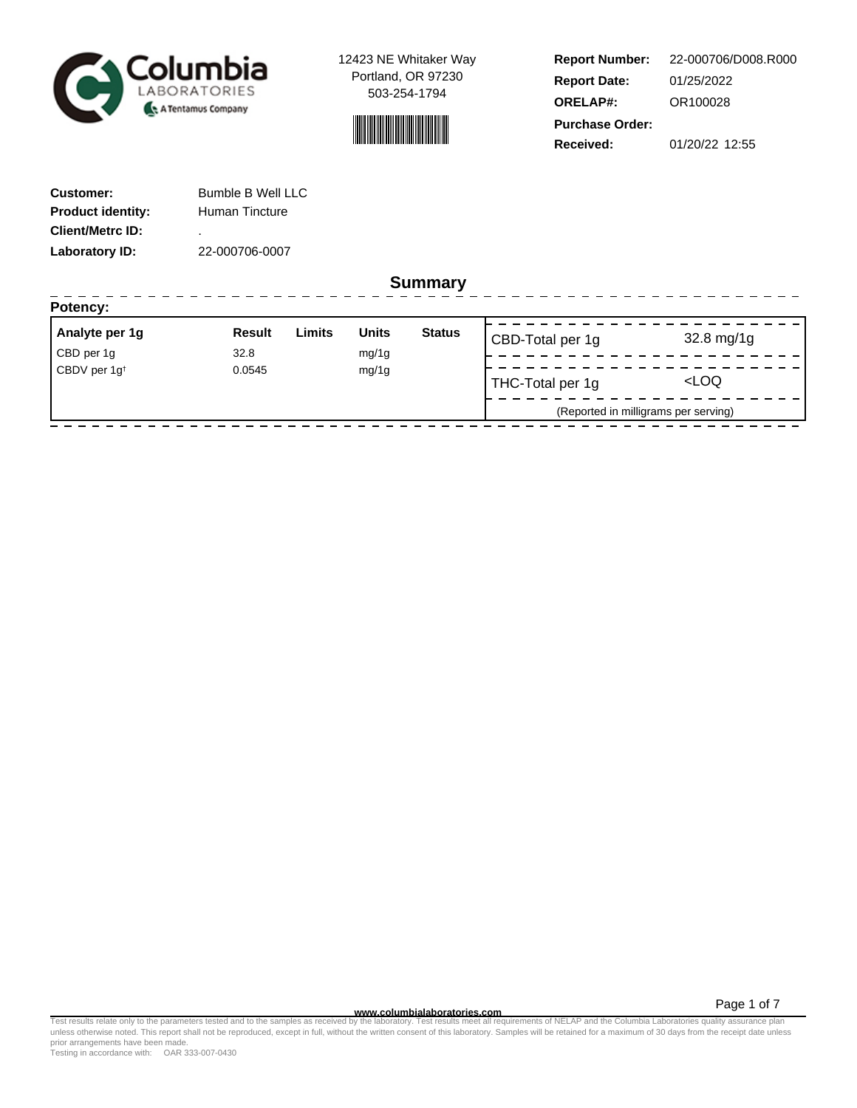



**Report Number: Report Date: ORELAP#:** 01/25/2022 OR100028 **Received:** 01/20/22 12:55 **Purchase Order:** 22-000706/D008.R000

------------------

| <b>Customer:</b>         | <b>Bumble B Well LLC</b> |
|--------------------------|--------------------------|
| <b>Product identity:</b> | Human Tincture           |
| <b>Client/Metrc ID:</b>  | ٠                        |
| Laboratory ID:           | 22-000706-0007           |

**Summary**

| Analyte per 1g           | Result | Limits | <b>Units</b> | <b>Status</b> | CBD-Total per 1g | 32.8 mg/1g                           |
|--------------------------|--------|--------|--------------|---------------|------------------|--------------------------------------|
| CBD per 1g               | 32.8   |        | mg/1g        |               |                  |                                      |
| CBDV per 1g <sup>t</sup> | 0.0545 |        | mg/1g        |               | THC-Total per 1g | <loq< td=""></loq<>                  |
|                          |        |        |              |               |                  | (Reported in milligrams per serving) |

Page 1 of 7

www.columbialaboratories.com<br>Test results relate only to the parameters tested and to the samples as received by the laboratories metall requirements of NELAP and the Columbia Laboratories quality assurance plan<br>unless oth prior arrangements have been made.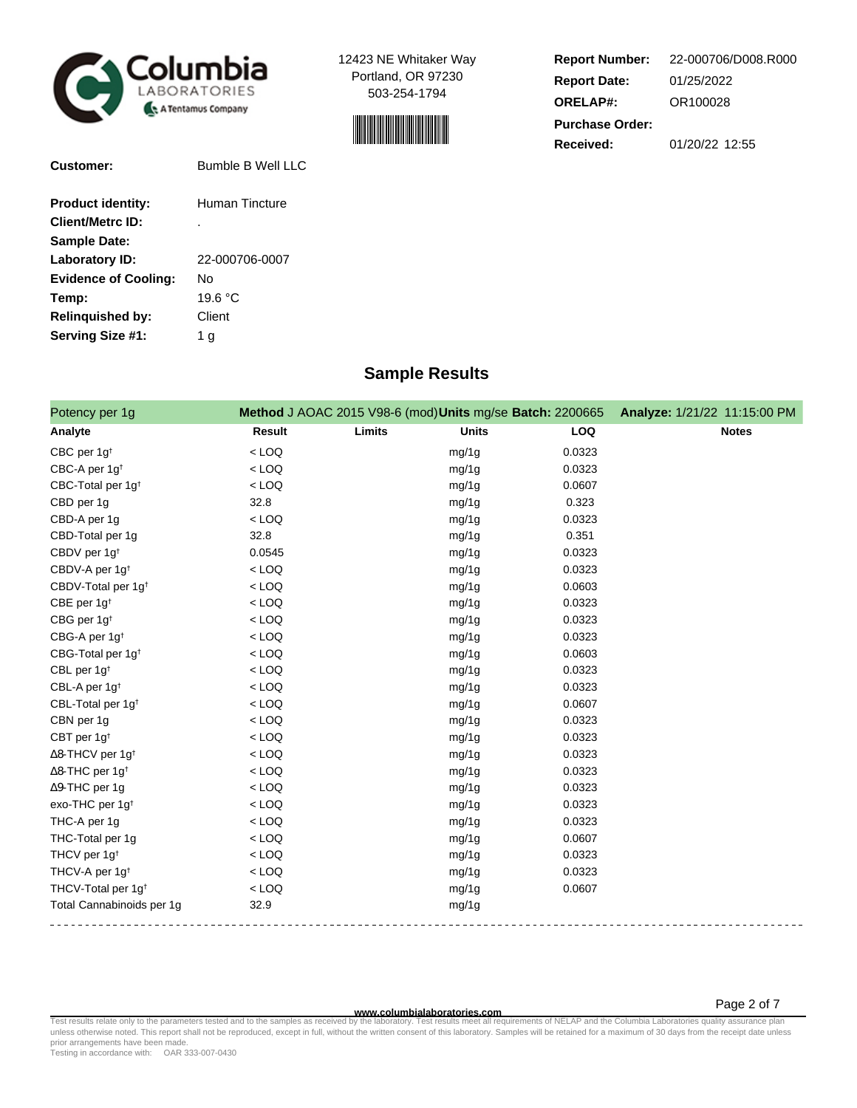



| <b>Report Number:</b>  | 22-000706/D008.R000 |  |  |  |
|------------------------|---------------------|--|--|--|
| <b>Report Date:</b>    | 01/25/2022          |  |  |  |
| <b>ORELAP#:</b>        | OR100028            |  |  |  |
| <b>Purchase Order:</b> |                     |  |  |  |
| Received:              | 01/20/22 12:55      |  |  |  |

| <b>Customer:</b>            | <b>Bumble B Well LLC</b> |
|-----------------------------|--------------------------|
| <b>Product identity:</b>    | Human Tincture           |
| <b>Client/Metrc ID:</b>     |                          |
| <b>Sample Date:</b>         |                          |
| Laboratory ID:              | 22-000706-0007           |
| <b>Evidence of Cooling:</b> | Nο                       |
| Temp:                       | 19.6 °C                  |
| <b>Relinquished by:</b>     | Client                   |
| Serving Size #1:            | 1 g                      |
|                             |                          |

# **Sample Results**

| Potency per 1g                      |               |        | Method J AOAC 2015 V98-6 (mod) Units mg/se Batch: 2200665 |            | Analyze: 1/21/22 11:15:00 PM |
|-------------------------------------|---------------|--------|-----------------------------------------------------------|------------|------------------------------|
| Analyte                             | <b>Result</b> | Limits | <b>Units</b>                                              | <b>LOQ</b> | <b>Notes</b>                 |
| CBC per 1g <sup>t</sup>             | $<$ LOQ       |        | mg/1g                                                     | 0.0323     |                              |
| CBC-A per 1g <sup>t</sup>           | $<$ LOQ       |        | mg/1g                                                     | 0.0323     |                              |
| CBC-Total per 1g <sup>t</sup>       | $<$ LOQ       |        | mg/1g                                                     | 0.0607     |                              |
| CBD per 1g                          | 32.8          |        | mg/1g                                                     | 0.323      |                              |
| CBD-A per 1g                        | $<$ LOQ       |        | mg/1g                                                     | 0.0323     |                              |
| CBD-Total per 1g                    | 32.8          |        | mg/1g                                                     | 0.351      |                              |
| CBDV per 1g <sup>t</sup>            | 0.0545        |        | mg/1g                                                     | 0.0323     |                              |
| CBDV-A per 1g <sup>t</sup>          | $<$ LOQ       |        | mg/1g                                                     | 0.0323     |                              |
| CBDV-Total per 1g <sup>+</sup>      | $<$ LOQ       |        | mg/1g                                                     | 0.0603     |                              |
| CBE per 1g <sup>t</sup>             | $<$ LOQ       |        | mg/1g                                                     | 0.0323     |                              |
| CBG per 1g <sup>t</sup>             | $<$ LOQ       |        | mg/1g                                                     | 0.0323     |                              |
| CBG-A per 1g <sup>t</sup>           | $<$ LOQ       |        | mg/1g                                                     | 0.0323     |                              |
| CBG-Total per 1g <sup>t</sup>       | $<$ LOQ       |        | mg/1g                                                     | 0.0603     |                              |
| CBL per 1g <sup>t</sup>             | $<$ LOQ       |        | mg/1g                                                     | 0.0323     |                              |
| CBL-A per 1g <sup>t</sup>           | $<$ LOQ       |        | mg/1g                                                     | 0.0323     |                              |
| CBL-Total per 1g <sup>t</sup>       | $<$ LOQ       |        | mg/1g                                                     | 0.0607     |                              |
| CBN per 1g                          | $<$ LOQ       |        | mg/1g                                                     | 0.0323     |                              |
| CBT per 1g <sup>t</sup>             | $<$ LOQ       |        | mg/1g                                                     | 0.0323     |                              |
| $\Delta$ 8-THCV per 1g <sup>+</sup> | $<$ LOQ       |        | mg/1g                                                     | 0.0323     |                              |
| $\Delta$ 8-THC per 1g <sup>+</sup>  | $<$ LOQ       |        | mg/1g                                                     | 0.0323     |                              |
| $\Delta$ 9-THC per 1g               | $<$ LOQ       |        | mg/1g                                                     | 0.0323     |                              |
| exo-THC per 1g <sup>t</sup>         | $<$ LOQ       |        | mg/1g                                                     | 0.0323     |                              |
| THC-A per 1g                        | $<$ LOQ       |        | mg/1g                                                     | 0.0323     |                              |
| THC-Total per 1g                    | $<$ LOQ       |        | mg/1g                                                     | 0.0607     |                              |
| THCV per 1g <sup>t</sup>            | $<$ LOQ       |        | mg/1g                                                     | 0.0323     |                              |
| THCV-A per 1g <sup>t</sup>          | $<$ LOQ       |        | mg/1g                                                     | 0.0323     |                              |
| THCV-Total per 1g <sup>t</sup>      | $<$ LOQ       |        | mg/1g                                                     | 0.0607     |                              |
| Total Cannabinoids per 1g           | 32.9          |        | mg/1g                                                     |            |                              |

**WWW.columbialaboratories.com**<br>unless otherwise noted. This report shall not be reproduced, except in full, without the written consent of this laboratory. Samples will be retained for a maximum of 30 days from the receipt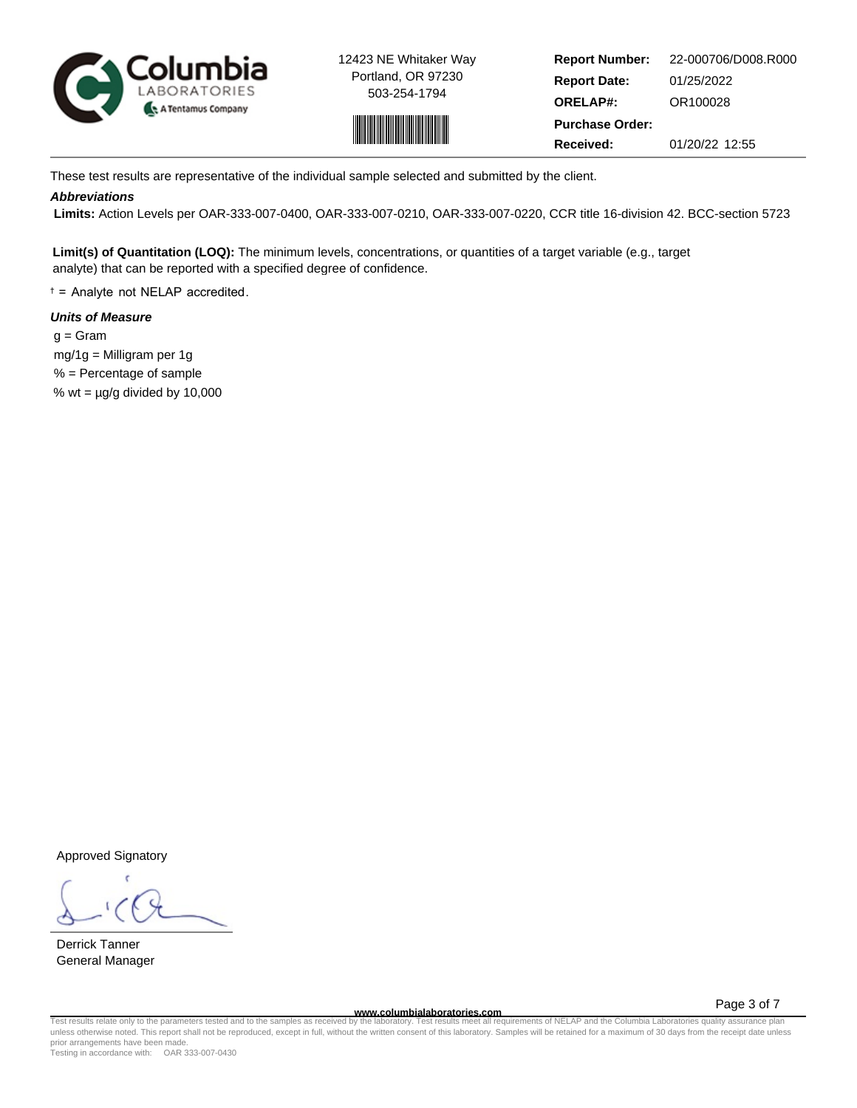



**Report Number: Report Date: ORELAP#:** 01/25/2022 OR100028 **Received:** 01/20/22 12:55 **Purchase Order:** 22-000706/D008.R000

These test results are representative of the individual sample selected and submitted by the client.

### **Abbreviations**

 **Limits:** Action Levels per OAR-333-007-0400, OAR-333-007-0210, OAR-333-007-0220, CCR title 16-division 42. BCC-section 5723

**Limit(s) of Quantitation (LOQ):** The minimum levels, concentrations, or quantities of a target variable (e.g., target analyte) that can be reported with a specified degree of confidence.

† = Analyte not NELAP accredited.

## **Units of Measure**

 $q = \text{Gram}$  mg/1g = Milligram per 1g % = Percentage of sample % wt =  $\mu$ g/g divided by 10,000

Approved Signatory

Derrick Tanner General Manager

**www.columbialaboratories.com**

Page 3 of 7

Test results relate only to the parameters tested and to the samples as received by the laboratory. Test results meet all requirements of NELAP and the Columbia Laboratories quality assurance plan<br>unless otherwise noted. T prior arrangements have been made.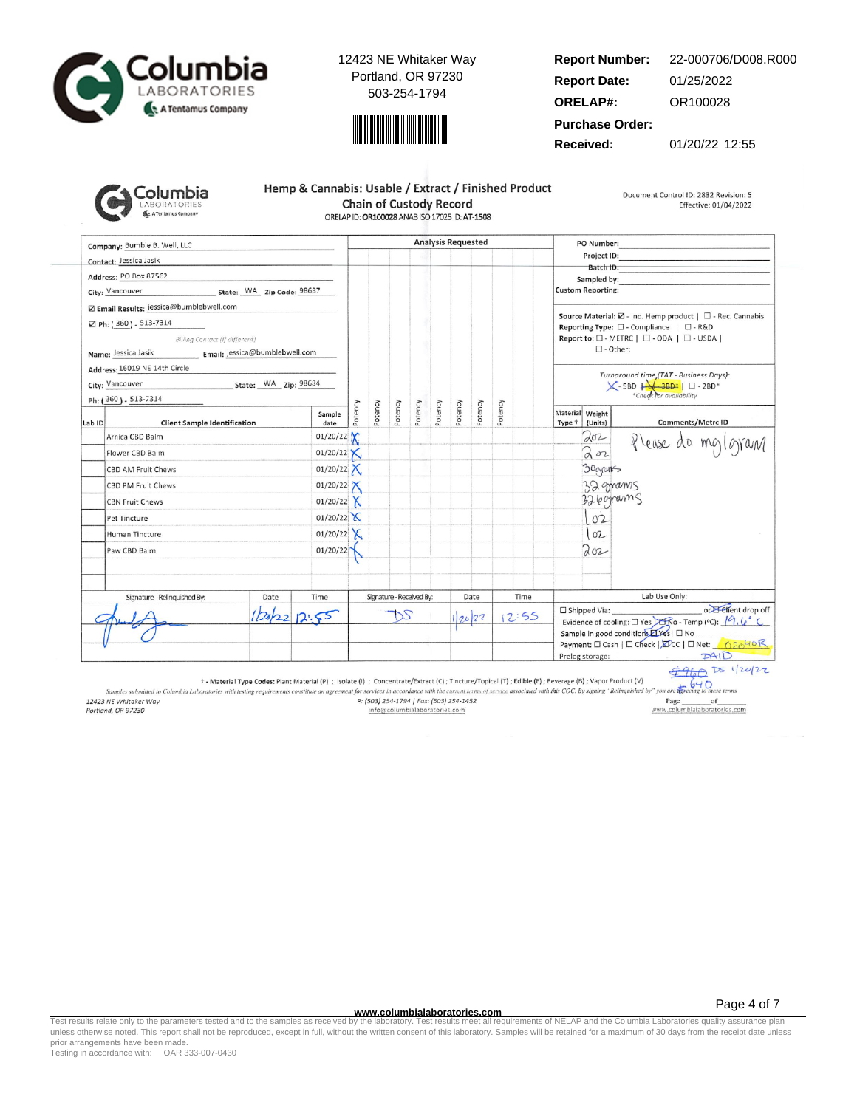



#### **Report Number: Report Date: ORELAP#:** 01/25/2022 OR100028 22-000706/D008.R000

**Purchase Order:**

**Received:** 01/20/22 12:55

| iolumbia                                  |
|-------------------------------------------|
| <b>LABORATORIES</b><br>A Tentamus Company |
|                                           |

| Hemp & Cannabis: Usable / Extract / Finished Product |  |  |  |  |  |  |  |
|------------------------------------------------------|--|--|--|--|--|--|--|
| <b>Chain of Custody Record</b>                       |  |  |  |  |  |  |  |
| ORELAP ID: OR100028 ANAB ISO 17025 ID: AT-1508       |  |  |  |  |  |  |  |

Document Control ID: 2832 Revision: 5 Effective: 01/04/2022

Company: Bumble B. Well, LLC **Analysis Requested** PO Number: Project ID: Contact: Jessica Jasik Batch ID: Address: PO Box 87562 Sampled by City: Vancouver State: WA Zip Code: 98687 **Custom Reporting:** Z Email Results: jessica@bumblebwell.com Source Material:  $\boxtimes$  - Ind. Hemp product |  $\Box$  - Rec. Cannabis ⊠ Ph: (360) - 513-7314 Reporting Type:  $\square$  - Compliance  $\parallel \square$  - R&D Billing Contact (if different) Report to: □ - METRC | □ - ODA | □ - USDA |  $\square$  - Other: Name: Jessica Jasik Email: jessica@bumblebwell.com Address: 16019 NE 14th Circle Turnaround time (TAT - Business Days):<br> $\boxtimes$  - 5BD  $\downarrow$  - 3BD\*  $\parallel$   $\Box$  - 2BD\*<br>\*Check for availability State: WA Zip: 98684 City: Vancouver Ph: (360) - 513-7314 Potency Potency Potency Potency Potency Potency Potency Potency Material Weight Sample Comments/Metrc ID Lab ID **Client Sample Identification** date Type <sup>+</sup> (Units) 01/20/22  $202$ Arnica CBD Balm Please do mg/gram  $202$  $01/20/22$ Flower CBD Balm Х 01/20/22  $X$ 30grants CBD AM Fruit Chews  $01/20/22$ 32 grams CBD PM Fruit Chews 32.6 grams **CBN Fruit Chews** 01/20/22  $X$  $01/20/22$  $102$ Pet Tincture 01/20/22  $X$  $102$ Human Tincture Paw CBD Balm 01/20/22 Toz Signature - Relinquished By: Date Time Signature - Received By: Date Time Lab Use Only: or Elient drop off □ Shipped Via:  $2022$ DS  $12:55$  $12.55$ 20/22 Evidence of cooling:  $\square$  Yes  $\square$   $\overline{\text{R}}$  O - Temp (°C):  $\sqrt{9}$ ,  $\sqrt{9}$ Sample in good condition *LYes* | □ No Payment: □ Cash | □ Check | EDCC | □ Net: 62040 R  $PAID$ Prelog storage:

 $4960$  Ds 1/20/22  $640$ 

† - Material Type Codes: Plant Material (P) ; Isolate (i) ; Concentrate/Extract (C); Tincture/Topical (T); Edible (E); Beverage (B); Vapor Product (V)

Samples submitted to Columbia Laboratories with testing requirements constitute an agreement for services in accordance with the current terms of service associated with this COC. By signing "Relinquished by" you are the 12423 NE Whitaker Way P: (503) 254-1794 | Fax: (503) 254-1452 Page of www.columbialaboratories.com Portland, OR 97230 info@columbialaboratories.com

**www.columbialaboratories.com**

Test results relate only to the parameters tested and to the samples as received by the laboratory. Test results meet all requirements of NELAP and the Columbia Laboratories quality assurance plan<br>unless otherwise noted. T prior arrangements have been made.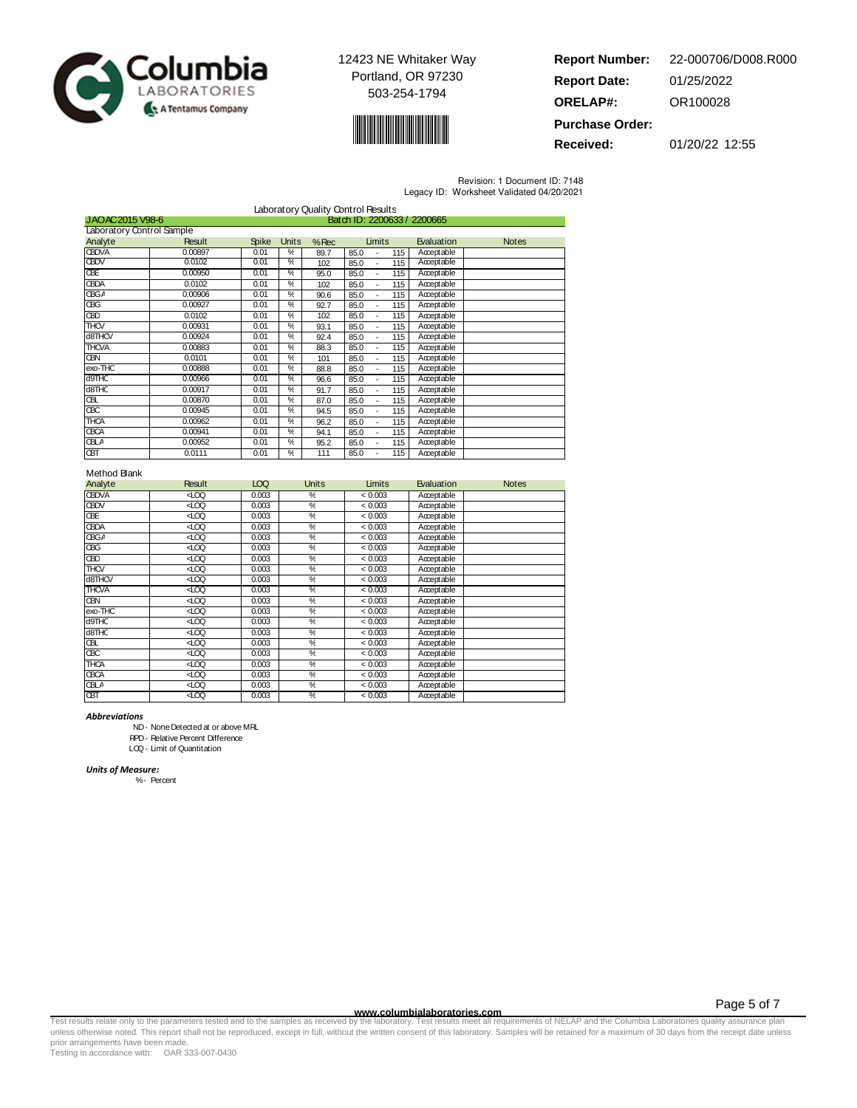



**Report Number: Report Date: ORELAP#:** 01/25/2022 OR100028 **Purchase Order:** 22-000706/D008.R000

**Received:** 01/20/22 12:55

Revision: 1 Document ID: 7148

| Legacy ID: Worksheet Validated 04/20/2021 |  |  |
|-------------------------------------------|--|--|

| Laboratory Quality Control Results |                                                |              |               |         |                               |            |              |  |  |
|------------------------------------|------------------------------------------------|--------------|---------------|---------|-------------------------------|------------|--------------|--|--|
|                                    | Batch ID: 2200633 / 2200665<br>JAOAC2015 V98-6 |              |               |         |                               |            |              |  |  |
| Laboratory Control Sample          |                                                |              |               |         |                               |            |              |  |  |
| Analyte                            | <b>Result</b>                                  | <b>Spike</b> | <b>Units</b>  | $%$ Rec | Limits                        | Evaluation | <b>Notes</b> |  |  |
| <b>CBDVA</b>                       | 0.00897                                        | 0.01         | $\frac{0}{c}$ | 89.7    | 85.0<br>115                   | Acceptable |              |  |  |
| <b>CBDV</b>                        | 0.0102                                         | 0.01         | ℀             | 102     | 115<br>85.0<br>$\blacksquare$ | Acceptable |              |  |  |
| <b>CBE</b>                         | 0.00950                                        | 0.01         | ℀             | 95.0    | 85.0<br>115<br>٠              | Acceptable |              |  |  |
| <b>CBDA</b>                        | 0.0102                                         | 0.01         | %             | 102     | 85.0<br>115<br>٠              | Acceptable |              |  |  |
| <b>CBGA</b>                        | 0.00906                                        | 0.01         | %             | 90.6    | 85.0<br>115<br>٠              | Acceptable |              |  |  |
| ŒG                                 | 0.00927                                        | 0.01         | %             | 92.7    | 85.0<br>115<br>٠              | Acceptable |              |  |  |
| <b>CBD</b>                         | 0.0102                                         | 0.01         | %             | 102     | 85.0<br>115<br>٠              | Acceptable |              |  |  |
| <b>THCV</b>                        | 0.00931                                        | 0.01         | %             | 93.1    | 85.0<br>115<br>٠              | Acceptable |              |  |  |
| d8THCV                             | 0.00924                                        | 0.01         | %             | 92.4    | 85.0<br>115                   | Acceptable |              |  |  |
| <b>THCVA</b>                       | 0.00883                                        | 0.01         | %             | 88.3    | 85.0<br>115<br>$\blacksquare$ | Acceptable |              |  |  |
| QВN                                | 0.0101                                         | 0.01         | $\frac{0}{c}$ | 101     | 85.0<br>115<br>$\blacksquare$ | Acceptable |              |  |  |
| exo-THC                            | 0.00888                                        | 0.01         | %             | 88.8    | 85.0<br>115<br>$\blacksquare$ | Acceptable |              |  |  |
| d <sub>9</sub> THC                 | 0.00966                                        | 0.01         | $\frac{0}{c}$ | 96.6    | 85.0<br>115                   | Acceptable |              |  |  |
| d8THC                              | 0.00917                                        | 0.01         | %             | 91.7    | 85.0<br>115<br>$\blacksquare$ | Acceptable |              |  |  |
| ŒL                                 | 0.00870                                        | 0.01         | $\frac{0}{c}$ | 87.0    | 85.0<br>115                   | Acceptable |              |  |  |
| ŒС                                 | 0.00945                                        | 0.01         | %             | 94.5    | 85.0<br>115<br>٠              | Acceptable |              |  |  |
| <b>THCA</b>                        | 0.00962                                        | 0.01         | $\frac{0}{c}$ | 96.2    | 85.0<br>115                   | Acceptable |              |  |  |
| <b>CBCA</b>                        | 0.00941                                        | 0.01         | ℀             | 94.1    | 85.0<br>115                   | Acceptable |              |  |  |
| <b>CBLA</b>                        | 0.00952                                        | 0.01         | $\frac{0}{c}$ | 95.2    | 85.0<br>115                   | Acceptable |              |  |  |
| <b>CBT</b>                         | 0.0111                                         | 0.01         | $\frac{0}{c}$ | 111     | 115<br>85.0                   | Acceptable |              |  |  |

### Method Blank

| Analyte      | Result | LOQ   | <b>Units</b>             | Limits  | Evaluation | <b>Notes</b> |
|--------------|--------|-------|--------------------------|---------|------------|--------------|
| <b>CBDVA</b> | ĝ      | 0.003 | %                        | < 0.003 | Acceptable |              |
| <b>GBDV</b>  | ⊲rco   | 0.003 | %                        | < 0.003 | Acceptable |              |
| <b>GBE</b>   | ĝ      | 0.003 | %                        | < 0.003 | Acceptable |              |
| <b>CBDA</b>  | ĝ      | 0.003 | %                        | < 0.003 | Acceptable |              |
| <b>CBGA</b>  | ĝ      | 0.003 | %                        | < 0.003 | Acceptable |              |
| œС           | ĝ      | 0.003 | %                        | < 0.003 | Acceptable |              |
| œО           | ⊲rœ    | 0.003 | $\overline{\mathscr{C}}$ | < 0.003 | Acceptable |              |
| THCV         | ĝ      | 0.003 | %                        | < 0.003 | Acceptable |              |
| d8THCV       | ĝ      | 0.003 | %                        | < 0.003 | Acceptable |              |
| <b>THCVA</b> | ĝ      | 0.003 | %                        | < 0.003 | Acceptable |              |
| œм           | ĝ      | 0.003 | %                        | < 0.003 | Acceptable |              |
| exo-THC      | ⊲rœ    | 0.003 | %                        | < 0.003 | Acceptable |              |
| d9THC        | ĝ      | 0.003 | %                        | < 0.003 | Acceptable |              |
| d8THC        | ĝ      | 0.003 | %                        | < 0.003 | Acceptable |              |
| Œ            | ĝ      | 0.003 | %                        | < 0.003 | Acceptable |              |
| œС           | ĝ      | 0.003 | %                        | < 0.003 | Acceptable |              |
| <b>THCA</b>  | ĝ      | 0.003 | %                        | < 0.003 | Acceptable |              |
| <b>CBCA</b>  | ĝ      | 0.003 | %                        | < 0.003 | Acceptable |              |
| <b>CBLA</b>  | ĝ      | 0.003 | $\overline{\gamma_{c}}$  | < 0.003 | Acceptable |              |
| <b>CBT</b>   | ĝ      | 0.003 | %                        | < 0.003 | Acceptable |              |

Abbreviations

ND- NoneDetected at or above MRL

RPD- Relative Percent Difference

LOQ- Limit of Quantitation

Units of Measure:

%- Percent

www.columbialaboratories.com<br>Test results relate only to the parameters tested and to the samples as received by the laboratories metall requirements of NELAP and the Columbia Laboratories quality assurance plan<br>unless oth prior arrangements have been made.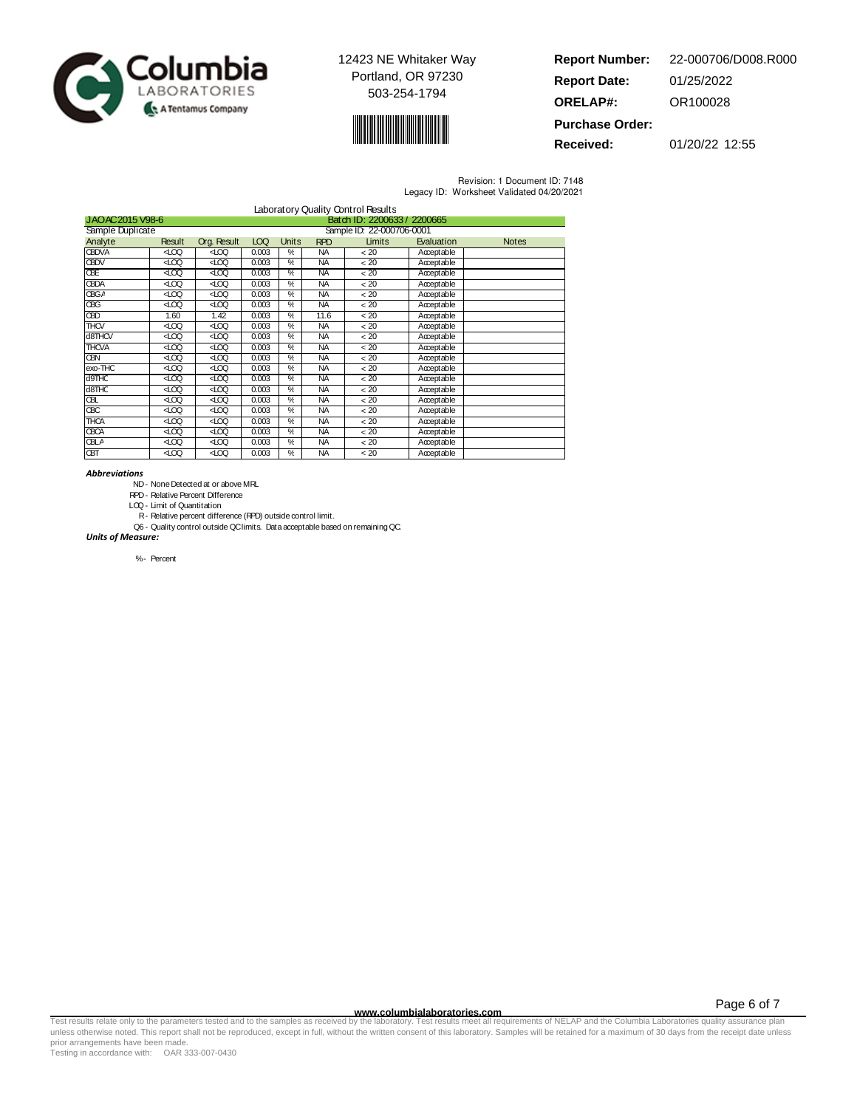



| <b>Report Number:</b>  | 22-000706/D008.R000 |
|------------------------|---------------------|
| <b>Report Date:</b>    | 01/25/2022          |
| <b>ORELAP#:</b>        | OR100028            |
| <b>Purchase Order:</b> |                     |

**Received:** 01/20/22 12:55

Revision: 1 Document ID: 7148 Legacy ID: Worksheet Validated 04/20/2021

| Laboratory Quality Control Results |                                                |                    |       |               |            |        |            |              |
|------------------------------------|------------------------------------------------|--------------------|-------|---------------|------------|--------|------------|--------------|
|                                    | Batch ID: 2200633 / 2200665<br>JAOAC2015 V98-6 |                    |       |               |            |        |            |              |
| Sample Duplicate                   | Sample ID: 22-000706-0001                      |                    |       |               |            |        |            |              |
| Analyte                            | <b>Result</b>                                  | <b>Org. Result</b> | LOQ   | Units         | <b>RPD</b> | Limits | Evaluation | <b>Notes</b> |
| <b>CBDVA</b>                       | ĝ                                              | ĝ                  | 0.003 | $\frac{0}{c}$ | NA         | ~120   | Acceptable |              |
| <b>GBDV</b>                        | ĝ                                              | ĝ                  | 0.003 | %             | <b>NA</b>  | ~< 20  | Acceptable |              |
| ŒE                                 | ⊲.co                                           | 400                | 0.003 | ℀             | ΝA         | < 20   | Acceptable |              |
| <b>CBDA</b>                        | ĝ                                              | ĝ                  | 0.003 | %             | NA.        | < 20   | Acceptable |              |
| <b>CBGA</b>                        | ĝ                                              | ĝ                  | 0.003 | $\frac{0}{c}$ | NA.        | < 20   | Acceptable |              |
| œС                                 | ĝ                                              | ĝ                  | 0.003 | %             | NA.        | < 20   | Acceptable |              |
| ŒD                                 | 1.60                                           | 1.42               | 0.003 | %             | 11.6       | ~120   | Acceptable |              |
| THCV                               | ĝ                                              | ĝ                  | 0.003 | %             | NA.        | ~120   | Acceptable |              |
| d8THCV                             | ĝ                                              | ĝ                  | 0.003 | %             | NA.        | < 20   | Acceptable |              |
| <b>THCVA</b>                       | ĝ                                              | ĝ                  | 0.003 | $\frac{0}{c}$ | NA         | < 20   | Acceptable |              |
| œм                                 | ĝ                                              | ĝ                  | 0.003 | %             | <b>NA</b>  | < 20   | Acceptable |              |
| exo-THC                            | ĝ                                              | ĝ                  | 0.003 | %             | NA         | < 20   | Acceptable |              |
| d9THC                              | ĝ                                              | ĝ                  | 0.003 | %             | <b>NA</b>  | < 20   | Acceptable |              |
| d <sub>8</sub> THC                 | ĝ                                              | ĝ                  | 0.003 | $\frac{0}{c}$ | <b>NA</b>  | < 20   | Acceptable |              |
| Œ                                  | ĝ                                              | ĝ                  | 0.003 | %             | <b>NA</b>  | < 20   | Acceptable |              |
| ŒС                                 | ĝ                                              | ĝ                  | 0.003 | %             | NA         | < 20   | Acceptable |              |
| <b>THCA</b>                        | ĝ                                              | ĝ                  | 0.003 | %             | NA.        | ~< 20  | Acceptable |              |
| <b>CBCA</b>                        | ⊲roo                                           | 400                | 0.003 | ℀             | NA         | < 20   | Acceptable |              |
| <b>CBLA</b>                        | ĝ                                              | ĝ                  | 0.003 | %             | NA.        | < 20   | Acceptable |              |
| ŒП                                 | ĝ                                              | ĝ                  | 0.003 | $\frac{0}{c}$ | <b>NA</b>  | < 20   | Acceptable |              |

### Abbreviations

ND- NoneDetected at or above MRL

RPD- Relative Percent Difference

LOQ- Limit of Quantitation

- R- Relative percent difference (RPD) outside control limit.
- Q6 Quality control outside QClimits. Data acceptable based on remaining QC. Units of Measure:

%- Percent

www.columbialaboratories.com<br>Test results relate only to the parameters tested and to the samples as received by the laboratories metall requirements of NELAP and the Columbia Laboratories quality assurance plan<br>unless oth prior arrangements have been made.